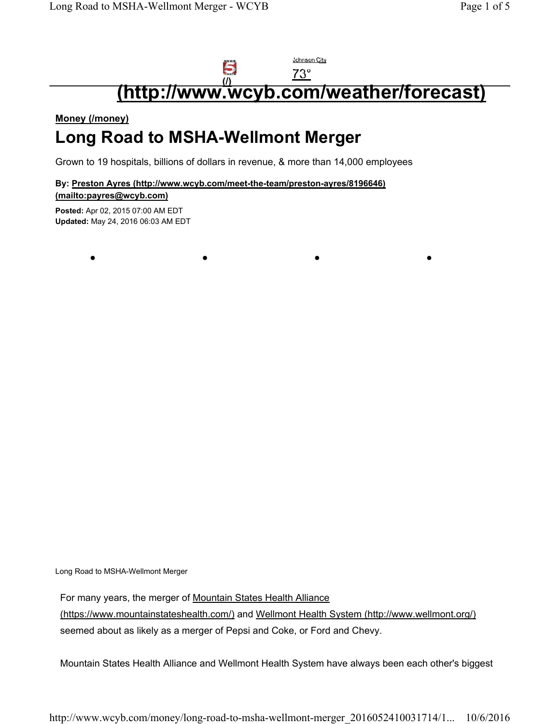## Johnson City 5 **(http://www.wcyb.com/weather/forecast) (/)**

#### **Money (/money)**

## **Long Road to MSHA-Wellmont Merger**

Grown to 19 hospitals, billions of dollars in revenue, & more than 14,000 employees

**••••**

**By: Preston Ayres (http://www.wcyb.com/meet-the-team/preston-ayres/8196646) (mailto:payres@wcyb.com)**

**Posted:** Apr 02, 2015 07:00 AM EDT **Updated:** May 24, 2016 06:03 AM EDT

Long Road to MSHA-Wellmont Merger

For many years, the merger of Mountain States Health Alliance

(https://www.mountainstateshealth.com/) and Wellmont Health System (http://www.wellmont.org/) seemed about as likely as a merger of Pepsi and Coke, or Ford and Chevy.

Mountain States Health Alliance and Wellmont Health System have always been each other's biggest

http://www.wcyb.com/money/long-road-to-msha-wellmont-merger\_2016052410031714/1... 10/6/2016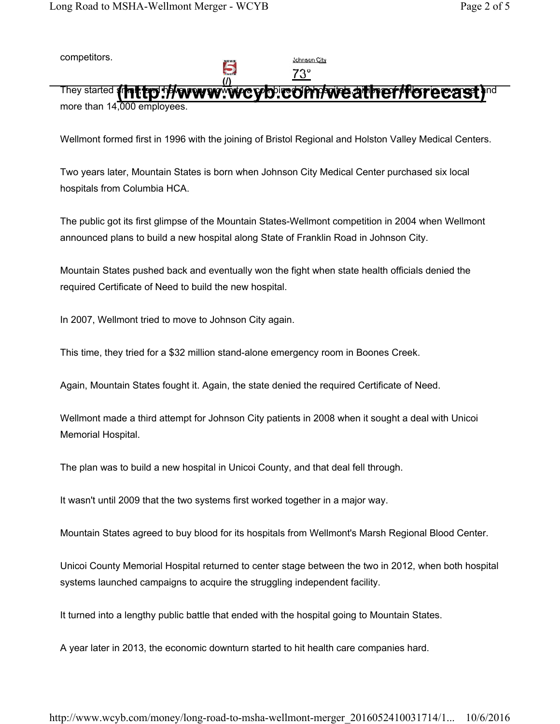competitors.

Johnson City

They started **{| http://www.www.wcyb.com/weather/forecast)** nd more than 14,000 employees.

5

Wellmont formed first in 1996 with the joining of Bristol Regional and Holston Valley Medical Centers.

Two years later, Mountain States is born when Johnson City Medical Center purchased six local hospitals from Columbia HCA.

The public got its first glimpse of the Mountain States-Wellmont competition in 2004 when Wellmont announced plans to build a new hospital along State of Franklin Road in Johnson City.

Mountain States pushed back and eventually won the fight when state health officials denied the required Certificate of Need to build the new hospital.

In 2007, Wellmont tried to move to Johnson City again.

This time, they tried for a \$32 million stand-alone emergency room in Boones Creek.

Again, Mountain States fought it. Again, the state denied the required Certificate of Need.

Wellmont made a third attempt for Johnson City patients in 2008 when it sought a deal with Unicoi Memorial Hospital.

The plan was to build a new hospital in Unicoi County, and that deal fell through.

It wasn't until 2009 that the two systems first worked together in a major way.

Mountain States agreed to buy blood for its hospitals from Wellmont's Marsh Regional Blood Center.

Unicoi County Memorial Hospital returned to center stage between the two in 2012, when both hospital systems launched campaigns to acquire the struggling independent facility.

It turned into a lengthy public battle that ended with the hospital going to Mountain States.

A year later in 2013, the economic downturn started to hit health care companies hard.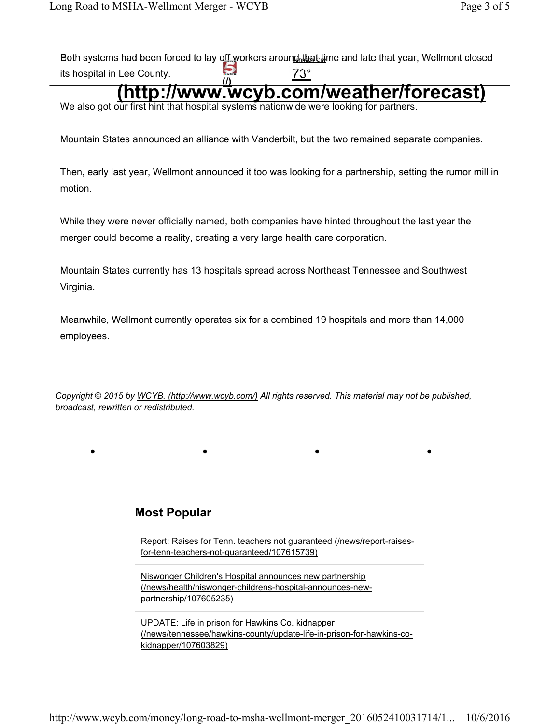Both systems had been forced to lay off workers around that time and late that year, Wellmont closed its hospital in Lee County.

# **(b)**  $\frac{73^{\circ}}{73^{\circ}}$  (a) and the county.<br> **(i)** http://www.wcyb.com/weather/forecast

We also got our first hint that hospital systems nationwide were looking for partners.

Mountain States announced an alliance with Vanderbilt, but the two remained separate companies.

Then, early last year, Wellmont announced it too was looking for a partnership, setting the rumor mill in motion.

While they were never officially named, both companies have hinted throughout the last year the merger could become a reality, creating a very large health care corporation.

Mountain States currently has 13 hospitals spread across Northeast Tennessee and Southwest Virginia.

Meanwhile, Wellmont currently operates six for a combined 19 hospitals and more than 14,000 employees.

*Copyright* © *2015 by WCYB. (http://www.wcyb.com/) All rights reserved. This material may not be published, broadcast, rewritten or redistributed.*

••••

### **Most Popular**

Report: Raises for Tenn. teachers not guaranteed (/news/report-raisesfor-tenn-teachers-not-guaranteed/107615739)

Niswonger Children's Hospital announces new partnership (/news/health/niswonger-childrens-hospital-announces-newpartnership/107605235)

UPDATE: Life in prison for Hawkins Co. kidnapper (/news/tennessee/hawkins-county/update-life-in-prison-for-hawkins-cokidnapper/107603829)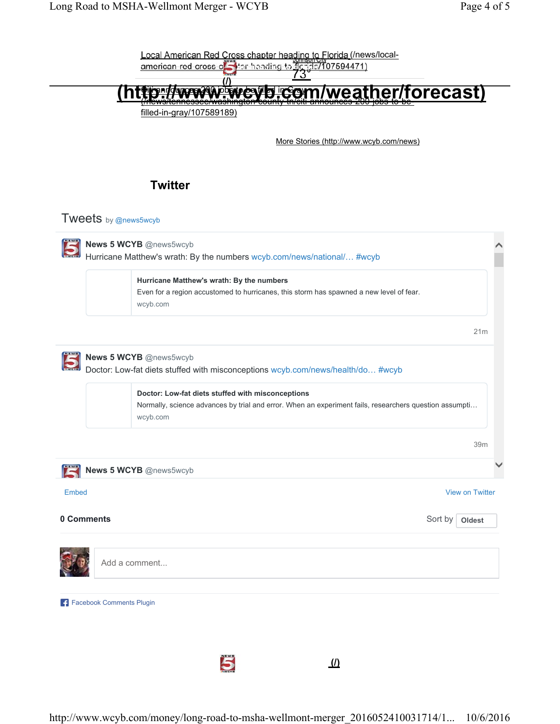